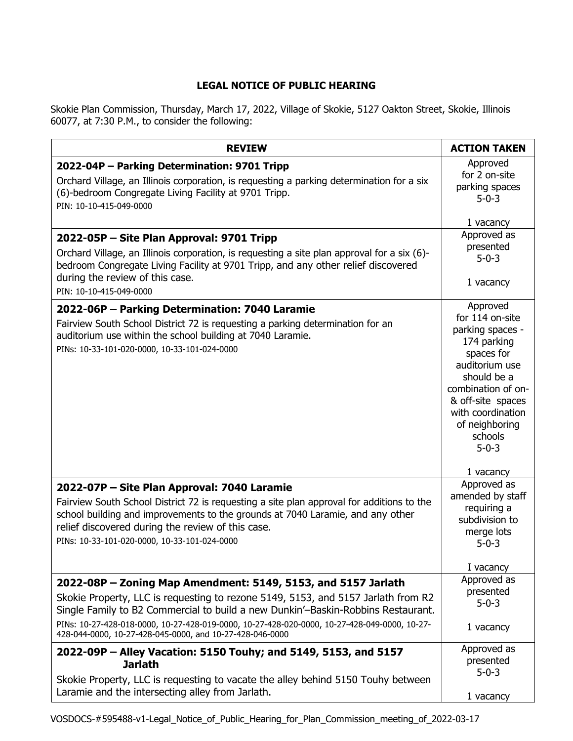## **LEGAL NOTICE OF PUBLIC HEARING**

Skokie Plan Commission, Thursday, March 17, 2022, Village of Skokie, 5127 Oakton Street, Skokie, Illinois 60077, at 7:30 P.M., to consider the following:

| <b>REVIEW</b>                                                                                                                                                                                                                                                                                                                   | <b>ACTION TAKEN</b>                                                                                                                                                                                                       |
|---------------------------------------------------------------------------------------------------------------------------------------------------------------------------------------------------------------------------------------------------------------------------------------------------------------------------------|---------------------------------------------------------------------------------------------------------------------------------------------------------------------------------------------------------------------------|
| 2022-04P - Parking Determination: 9701 Tripp<br>Orchard Village, an Illinois corporation, is requesting a parking determination for a six<br>(6)-bedroom Congregate Living Facility at 9701 Tripp.<br>PIN: 10-10-415-049-0000                                                                                                   | Approved<br>for 2 on-site<br>parking spaces<br>$5 - 0 - 3$                                                                                                                                                                |
|                                                                                                                                                                                                                                                                                                                                 | 1 vacancy                                                                                                                                                                                                                 |
| 2022-05P - Site Plan Approval: 9701 Tripp<br>Orchard Village, an Illinois corporation, is requesting a site plan approval for a six (6)-<br>bedroom Congregate Living Facility at 9701 Tripp, and any other relief discovered<br>during the review of this case.                                                                | Approved as<br>presented<br>$5 - 0 - 3$<br>1 vacancy                                                                                                                                                                      |
| PIN: 10-10-415-049-0000                                                                                                                                                                                                                                                                                                         |                                                                                                                                                                                                                           |
| 2022-06P - Parking Determination: 7040 Laramie<br>Fairview South School District 72 is requesting a parking determination for an<br>auditorium use within the school building at 7040 Laramie.<br>PINs: 10-33-101-020-0000, 10-33-101-024-0000                                                                                  | Approved<br>for 114 on-site<br>parking spaces -<br>174 parking<br>spaces for<br>auditorium use<br>should be a<br>combination of on-<br>& off-site spaces<br>with coordination<br>of neighboring<br>schools<br>$5 - 0 - 3$ |
|                                                                                                                                                                                                                                                                                                                                 | 1 vacancy                                                                                                                                                                                                                 |
| 2022-07P - Site Plan Approval: 7040 Laramie<br>Fairview South School District 72 is requesting a site plan approval for additions to the<br>school building and improvements to the grounds at 7040 Laramie, and any other<br>relief discovered during the review of this case.<br>PINs: 10-33-101-020-0000, 10-33-101-024-0000 | Approved as<br>amended by staff<br>requiring a<br>subdivision to<br>merge lots<br>$5 - 0 - 3$<br>I vacancy                                                                                                                |
| 2022-08P - Zoning Map Amendment: 5149, 5153, and 5157 Jarlath                                                                                                                                                                                                                                                                   | Approved as                                                                                                                                                                                                               |
| Skokie Property, LLC is requesting to rezone 5149, 5153, and 5157 Jarlath from R2<br>Single Family to B2 Commercial to build a new Dunkin'-Baskin-Robbins Restaurant.<br>PINs: 10-27-428-018-0000, 10-27-428-019-0000, 10-27-428-020-0000, 10-27-428-049-0000, 10-27-                                                           | presented<br>$5 - 0 - 3$                                                                                                                                                                                                  |
| 428-044-0000, 10-27-428-045-0000, and 10-27-428-046-0000                                                                                                                                                                                                                                                                        | 1 vacancy                                                                                                                                                                                                                 |
| 2022-09P - Alley Vacation: 5150 Touhy; and 5149, 5153, and 5157<br><b>Jarlath</b><br>Skokie Property, LLC is requesting to vacate the alley behind 5150 Touhy between                                                                                                                                                           | Approved as<br>presented<br>$5 - 0 - 3$                                                                                                                                                                                   |
| Laramie and the intersecting alley from Jarlath.                                                                                                                                                                                                                                                                                | 1 vacancy                                                                                                                                                                                                                 |